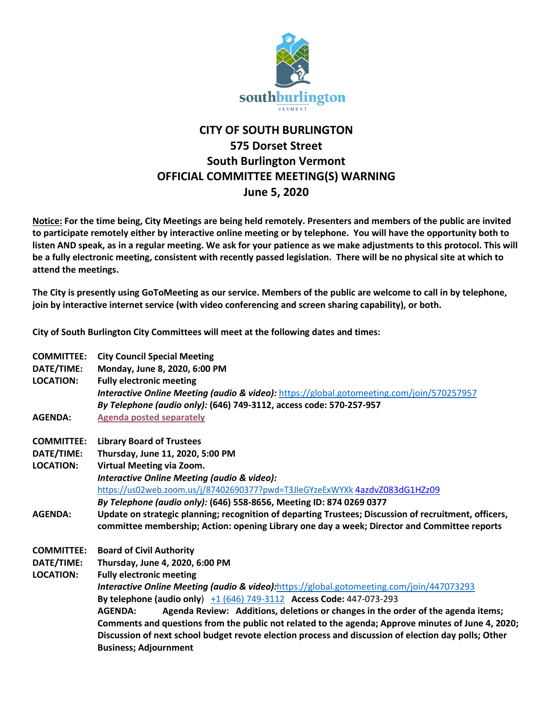

## **CITY OF SOUTH BURLINGTON 575 Dorset Street South Burlington Vermont OFFICIAL COMMITTEE MEETING(S) WARNING June 5, 2020**

**Notice: For the time being, City Meetings are being held remotely. Presenters and members of the public are invited to participate remotely either by interactive online meeting or by telephone. You will have the opportunity both to listen AND speak, as in a regular meeting. We ask for your patience as we make adjustments to this protocol. This will be a fully electronic meeting, consistent with recently passed legislation. There will be no physical site at which to attend the meetings.** 

**The City is presently using GoToMeeting as our service. Members of the public are welcome to call in by telephone, join by interactive internet service (with video conferencing and screen sharing capability), or both.**

**City of South Burlington City Committees will meet at the following dates and times:** 

| <b>COMMITTEE:</b> | <b>City Council Special Meeting</b>                                                                   |
|-------------------|-------------------------------------------------------------------------------------------------------|
| DATE/TIME:        | Monday, June 8, 2020, 6:00 PM                                                                         |
| <b>LOCATION:</b>  | <b>Fully electronic meeting</b>                                                                       |
|                   | <b>Interactive Online Meeting (audio &amp; video):</b> https://global.gotomeeting.com/join/570257957  |
|                   | By Telephone (audio only): (646) 749-3112, access code: 570-257-957                                   |
| <b>AGENDA:</b>    | <b>Agenda posted separately</b>                                                                       |
| <b>COMMITTEE:</b> | <b>Library Board of Trustees</b>                                                                      |
| DATE/TIME:        | Thursday, June 11, 2020, 5:00 PM                                                                      |
| <b>LOCATION:</b>  | Virtual Meeting via Zoom.                                                                             |
|                   | <b>Interactive Online Meeting (audio &amp; video):</b>                                                |
|                   | https://us02web.zoom.us/j/87402690377?pwd=T3JleGYzeExWYXk 4azdvZ083dG1HZz09                           |
|                   | By Telephone (audio only): (646) 558-8656, Meeting ID: 874 0269 0377                                  |
| <b>AGENDA:</b>    | Update on strategic planning; recognition of departing Trustees; Discussion of recruitment, officers, |
|                   | committee membership; Action: opening Library one day a week; Director and Committee reports          |
| <b>COMMITTEE:</b> | <b>Board of Civil Authority</b>                                                                       |
| DATE/TIME:        | Thursday, June 4, 2020, 6:00 PM                                                                       |
| <b>LOCATION:</b>  | <b>Fully electronic meeting</b>                                                                       |
|                   | <b>Interactive Online Meeting (audio &amp; video):</b> https://global.gotomeeting.com/join/447073293  |
|                   | By telephone (audio only) $\pm 1$ (646) 749-3112 Access Code: 447-073-293                             |
|                   | Agenda Review: Additions, deletions or changes in the order of the agenda items;<br><b>AGENDA:</b>    |
|                   | Comments and questions from the public not related to the agenda; Approve minutes of June 4, 2020;    |
|                   | Discussion of next school budget revote election process and discussion of election day polls; Other  |
|                   | <b>Business; Adjournment</b>                                                                          |
|                   |                                                                                                       |